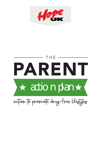

# $\star$  action plan  $\star$ PARENT THE

action to promote drug-free lifestyles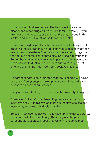You and your child are unique. The best way to talk about alcohol and other drugs will vary from family to family. If you are not sure what to do, use some of the suggestions in this leaflet, and find out what works for other people.

There is no single age at which it is best to start talking about drugs. Young children may ask questions because of what they see or hear somewhere. You may know more about drugs than they do, but not feel confident to discuss drugs with your child. Remember that what you do is as important as what you say. Decisions not to drink and drive, or to cut down (or give up) smoking or drinking may have a very positive influence.

No parent or carer can guarantee that their children will never use drugs. Young people make up their own minds and have access to all sorts of substances.

The good news is that anyone can reduce the possibility of drug use.

There is no 'miracle' cure. Preventing drug-related harm is a long-term activity. It involves encouraging healthy choices and fostering good parent-child relationships.

So begin now. Use the advice in this Action Plan to get you started or reinforce what you do already. There may also be general parenting skills courses in your area which might be helpful.

1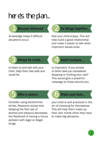## HERE'S THE PIAN

### **Become informed**

Knowledge helps if difficult situations occur.

## Do things together.

that your child enjoys. This will help build a good relationship and make it easier to talk when important issues arise.

#### Always be ready...

to listen to and talk with your child. Help them feel safe and cared for.

## Adult example...

is important. If you smoke or drink have you considered stopping or limiting your use? This would give a powerful message to those around you.

#### **Offer a choice**

Consider using alcohol-free drinks. Research shows that delaying the first use of alcohol and tobacco decreases the likelihood of having a future problem with legal or illegal drugs.

#### Make sure that...

your child is well practiced in the art of choosing for themselves. This will help them make up their own minds when they have to make big decisions.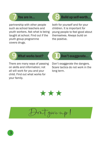partnership with other people such as school teachers and youth workers. Ask what is being taught at school. Find out if the youth group programme covers drugs.



### You are in...  $\begin{pmatrix} 0 \\ 1 \end{pmatrix}$  Build up self-worth.

both for yourself and for your children. It is important for young people to feel good about themselves. Always build on the positive.



There are many ways of passing on skills and information; not all will work for you and your child. Find out what works for your family.

What works best?  $\blacksquare$  Don't exaggerate...

Don't exaggerate the dangers. Scare tactics do not work in the long term.



Don't give up!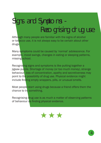## SIGNS AND SYMPTOMS -RECOGNISING DRUG USE

Although many people are familiar with the signs of alcohol or tobacco use, it is not always easy to be certain about other drugs.

Many symptoms could be caused by 'normal' adolescence. For example, mood swings, changes in eating or sleeping patterns, missing school.

Recognising signs and symptoms is like putting together a jigsaw puzzle. Shortage of money (or too much money), strange behaviour, loss of concentration, apathy and secretiveness may point to the possibility of drug use. Physical evidence might include finding empty wrappers, pills, or unusual smells.

Most people start using drugs because a friend offers them the chance to try something.

Recognising drug use is as much a matter of observing patterns of behaviour as finding physical evidence.

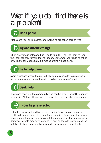## WHAT IF YOU DO FIND THERE IS A PROBLEM?

## **Don't panic**

Make sure your child's safety and wellbeing are taken care of first.

## Try and discuss things...

when everyone is calm and has time to talk. LISTEN – let them tell you their feelings etc, without feeling judged. Remember your child might be unwilling to talk, especially if it means letting friends down.

## Try to help them...

avoid situations where the risk is high. You may have to help your child travel safely, or encourage them to avoid certain events/friends.

## **Seek help**

There are people in the community who can help you – your GP, support groups like Alateen, the council will know local groups who offer support.

#### If your help is rejected...

...don't be surprised and try not to be angry. Drug use can be part of a youth culture and linked to strong friendship ties. Remember that young people make their own choices and take responsibility for themselves in doing so. Parents may have to stand by and be there to provide a caring safety net where possible. Let your child know you are there for them.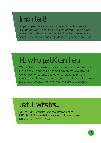## IMPORTANT!

All young people are at risk, but even though some will experiment with illegal drugs the majority still leave them alone. Many who do experiment will not become regular users. Alcohol is still the main drug that young people use.

## HOW HOPE UK CAN HELP...

We can help you learn more about drugs – what they look like, do etc – and their signs and symptoms. We also run workshops for parents and other carers to help them consider helpful ways to support and help their children (and it's a good idea to start when your children are young).

## USEFUL WEBSITES...

Talk to Frank website: www.talktofrank.com NHS Smokefree website: www.nhs.uk/smokefree NHS website: www.nhs.uk